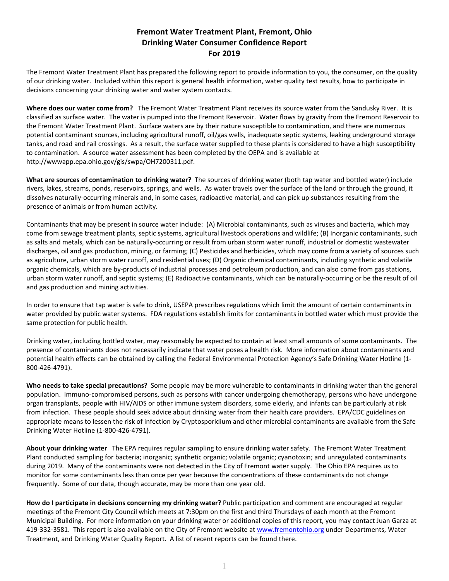## **Fremont Water Treatment Plant, Fremont, Ohio Drinking Water Consumer Confidence Report For 2019**

The Fremont Water Treatment Plant has prepared the following report to provide information to you, the consumer, on the quality of our drinking water. Included within this report is general health information, water quality test results, how to participate in decisions concerning your drinking water and water system contacts.

**Where does our water come from?** The Fremont Water Treatment Plant receives its source water from the Sandusky River. It is classified as surface water. The water is pumped into the Fremont Reservoir. Water flows by gravity from the Fremont Reservoir to the Fremont Water Treatment Plant. Surface waters are by their nature susceptible to contamination, and there are numerous potential contaminant sources, including agricultural runoff, oil/gas wells, inadequate septic systems, leaking underground storage tanks, and road and rail crossings. As a result, the surface water supplied to these plants is considered to have a high susceptibility to contamination. A source water assessment has been completed by the OEPA and is available at http://wwwapp.epa.ohio.gov/gis/swpa/OH7200311.pdf.

**What are sources of contamination to drinking water?** The sources of drinking water (both tap water and bottled water) include rivers, lakes, streams, ponds, reservoirs, springs, and wells. As water travels over the surface of the land or through the ground, it dissolves naturally-occurring minerals and, in some cases, radioactive material, and can pick up substances resulting from the presence of animals or from human activity.

Contaminants that may be present in source water include: (A) Microbial contaminants, such as viruses and bacteria, which may come from sewage treatment plants, septic systems, agricultural livestock operations and wildlife; (B) Inorganic contaminants, such as salts and metals, which can be naturally-occurring or result from urban storm water runoff, industrial or domestic wastewater discharges, oil and gas production, mining, or farming; (C) Pesticides and herbicides, which may come from a variety of sources such as agriculture, urban storm water runoff, and residential uses; (D) Organic chemical contaminants, including synthetic and volatile organic chemicals, which are by-products of industrial processes and petroleum production, and can also come from gas stations, urban storm water runoff, and septic systems; (E) Radioactive contaminants, which can be naturally-occurring or be the result of oil and gas production and mining activities*.* 

In order to ensure that tap water is safe to drink, USEPA prescribes regulations which limit the amount of certain contaminants in water provided by public water systems. FDA regulations establish limits for contaminants in bottled water which must provide the same protection for public health.

Drinking water, including bottled water, may reasonably be expected to contain at least small amounts of some contaminants. The presence of contaminants does not necessarily indicate that water poses a health risk. More information about contaminants and potential health effects can be obtained by calling the Federal Environmental Protection Agency's Safe Drinking Water Hotline (1- 800-426-4791).

**Who needs to take special precautions?** Some people may be more vulnerable to contaminants in drinking water than the general population. Immuno-compromised persons, such as persons with cancer undergoing chemotherapy, persons who have undergone organ transplants, people with HIV/AIDS or other immune system disorders, some elderly, and infants can be particularly at risk from infection. These people should seek advice about drinking water from their health care providers. EPA/CDC guidelines on appropriate means to lessen the risk of infection by Cryptosporidium and other microbial contaminants are available from the Safe Drinking Water Hotline (1-800-426-4791).

**About your drinking water** The EPA requires regular sampling to ensure drinking water safety. The Fremont Water Treatment Plant conducted sampling for bacteria; inorganic; synthetic organic; volatile organic; cyanotoxin; and unregulated contaminants during 2019. Many of the contaminants were not detected in the City of Fremont water supply. The Ohio EPA requires us to monitor for some contaminants less than once per year because the concentrations of these contaminants do not change frequently. Some of our data, though accurate, may be more than one year old.

**How do I participate in decisions concerning my drinking water?** Public participation and comment are encouraged at regular meetings of the Fremont City Council which meets at 7:30pm on the first and third Thursdays of each month at the Fremont Municipal Building.For more information on your drinking water or additional copies of this report, you may contact Juan Garza at 419-332-3581. This report is also available on the City of Fremont website at www.fremontohio.org under Departments, Water Treatment, and Drinking Water Quality Report. A list of recent reports can be found there.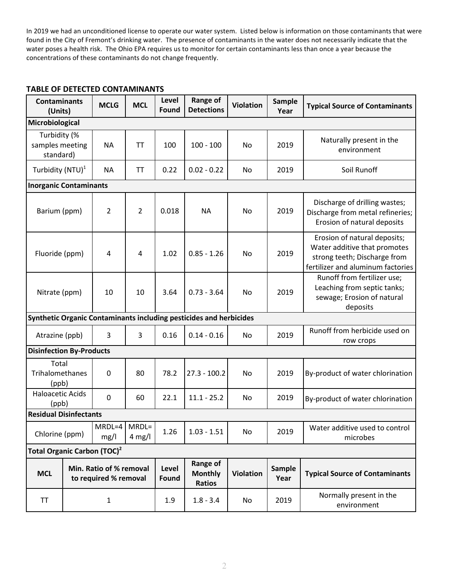In 2019 we had an unconditioned license to operate our water system. Listed below is information on those contaminants that were found in the City of Fremont's drinking water. The presence of contaminants in the water does not necessarily indicate that the water poses a health risk. The Ohio EPA requires us to monitor for certain contaminants less than once a year because the concentrations of these contaminants do not change frequently.

| <b>Contaminants</b><br>(Units)                                     |  | <b>MCLG</b>            | <b>MCL</b>                                  | Level<br>Found   | <b>Range of</b><br><b>Detections</b> | <b>Violation</b>                      | <b>Sample</b><br>Year | <b>Typical Source of Contaminants</b>                                                                                             |  |  |  |
|--------------------------------------------------------------------|--|------------------------|---------------------------------------------|------------------|--------------------------------------|---------------------------------------|-----------------------|-----------------------------------------------------------------------------------------------------------------------------------|--|--|--|
| Microbiological                                                    |  |                        |                                             |                  |                                      |                                       |                       |                                                                                                                                   |  |  |  |
| Turbidity (%<br>samples meeting<br>standard)                       |  | <b>NA</b>              | ΤT                                          | 100              | $100 - 100$                          | No                                    | 2019                  | Naturally present in the<br>environment                                                                                           |  |  |  |
| Turbidity (NTU) <sup>1</sup>                                       |  | <b>NA</b>              | <b>TT</b>                                   | 0.22             | $0.02 - 0.22$                        | No                                    | 2019                  | Soil Runoff                                                                                                                       |  |  |  |
| <b>Inorganic Contaminants</b>                                      |  |                        |                                             |                  |                                      |                                       |                       |                                                                                                                                   |  |  |  |
| Barium (ppm)                                                       |  | 2                      | $\overline{2}$                              | 0.018            | <b>NA</b>                            | No                                    | 2019                  | Discharge of drilling wastes;<br>Discharge from metal refineries;<br>Erosion of natural deposits                                  |  |  |  |
| Fluoride (ppm)                                                     |  | 4                      | 4                                           | 1.02             | $0.85 - 1.26$                        | <b>No</b>                             | 2019                  | Erosion of natural deposits;<br>Water additive that promotes<br>strong teeth; Discharge from<br>fertilizer and aluminum factories |  |  |  |
| Nitrate (ppm)                                                      |  | 10                     | 10                                          | 3.64             | $0.73 - 3.64$                        | No                                    | 2019                  | Runoff from fertilizer use;<br>Leaching from septic tanks;<br>sewage; Erosion of natural<br>deposits                              |  |  |  |
| Synthetic Organic Contaminants including pesticides and herbicides |  |                        |                                             |                  |                                      |                                       |                       |                                                                                                                                   |  |  |  |
| Atrazine (ppb)                                                     |  | 3                      | $\overline{3}$                              | 0.16             | $0.14 - 0.16$                        | No                                    | 2019                  | Runoff from herbicide used on<br>row crops                                                                                        |  |  |  |
| <b>Disinfection By-Products</b>                                    |  |                        |                                             |                  |                                      |                                       |                       |                                                                                                                                   |  |  |  |
| Total<br>Trihalomethanes<br>(ppb)                                  |  | 0                      | 80                                          | 78.2             | $27.3 - 100.2$                       | No                                    | 2019                  | By-product of water chlorination                                                                                                  |  |  |  |
| <b>Haloacetic Acids</b><br>(ppb)                                   |  | 0                      | 60                                          | 22.1             | $11.1 - 25.2$                        | No                                    | 2019                  | By-product of water chlorination                                                                                                  |  |  |  |
| <b>Residual Disinfectants</b>                                      |  |                        |                                             |                  |                                      |                                       |                       |                                                                                                                                   |  |  |  |
| Chlorine (ppm)                                                     |  | $MRDL=4$ MRDL=<br>mg/l | $4$ mg/l                                    | 1.26             | $1.03 - 1.51$                        | No                                    | 2019                  | Water additive used to control<br>microbes                                                                                        |  |  |  |
| Total Organic Carbon (TOC) <sup>2</sup>                            |  |                        |                                             |                  |                                      |                                       |                       |                                                                                                                                   |  |  |  |
| Min. Ratio of % removal<br><b>MCL</b><br>to required % removal     |  | Level<br>Found         | Range of<br><b>Monthly</b><br><b>Ratios</b> | <b>Violation</b> | <b>Sample</b><br>Year                | <b>Typical Source of Contaminants</b> |                       |                                                                                                                                   |  |  |  |
| <b>TT</b>                                                          |  | $\mathbf{1}$           |                                             | 1.9              | $1.8 - 3.4$                          | No                                    | 2019                  | Normally present in the<br>environment                                                                                            |  |  |  |

## **TABLE OF DETECTED CONTAMINANTS**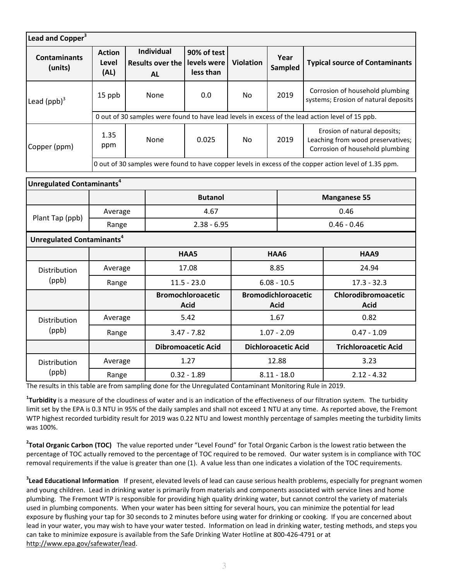| Lead and Copper <sup>3</sup>          |                                                                                                        |                                                           |                           |                                         |                            |                                           |                        |                                                                                                      |                                                                         |  |  |  |
|---------------------------------------|--------------------------------------------------------------------------------------------------------|-----------------------------------------------------------|---------------------------|-----------------------------------------|----------------------------|-------------------------------------------|------------------------|------------------------------------------------------------------------------------------------------|-------------------------------------------------------------------------|--|--|--|
| <b>Contaminants</b><br>(units)        | <b>Action</b><br>Level<br>(AL)                                                                         | <b>Individual</b><br><b>Results over the</b><br><b>AL</b> |                           | 90% of test<br>levels were<br>less than | <b>Violation</b>           |                                           | Year<br><b>Sampled</b> |                                                                                                      | <b>Typical source of Contaminants</b>                                   |  |  |  |
| Lead $(ppb)^3$                        | 15 ppb                                                                                                 | None                                                      |                           | 0.0                                     | <b>No</b>                  |                                           | 2019                   |                                                                                                      | Corrosion of household plumbing<br>systems; Erosion of natural deposits |  |  |  |
|                                       | 0 out of 30 samples were found to have lead levels in excess of the lead action level of 15 ppb.       |                                                           |                           |                                         |                            |                                           |                        |                                                                                                      |                                                                         |  |  |  |
| Copper (ppm)                          | 1.35<br>ppm                                                                                            | None                                                      |                           | 0.025                                   | <b>No</b>                  | 2019                                      |                        | Erosion of natural deposits;<br>Leaching from wood preservatives;<br>Corrosion of household plumbing |                                                                         |  |  |  |
|                                       | 0 out of 30 samples were found to have copper levels in excess of the copper action level of 1.35 ppm. |                                                           |                           |                                         |                            |                                           |                        |                                                                                                      |                                                                         |  |  |  |
| Unregulated Contaminants <sup>4</sup> |                                                                                                        |                                                           |                           |                                         |                            |                                           |                        |                                                                                                      |                                                                         |  |  |  |
|                                       |                                                                                                        | <b>Butanol</b>                                            |                           |                                         |                            |                                           | <b>Manganese 55</b>    |                                                                                                      |                                                                         |  |  |  |
|                                       | Average                                                                                                |                                                           | 4.67                      |                                         |                            |                                           | 0.46                   |                                                                                                      |                                                                         |  |  |  |
| Plant Tap (ppb)                       | Range                                                                                                  |                                                           | $2.38 - 6.95$             |                                         |                            |                                           | $0.46 - 0.46$          |                                                                                                      |                                                                         |  |  |  |
| Unregulated Contaminants <sup>4</sup> |                                                                                                        |                                                           |                           |                                         |                            |                                           |                        |                                                                                                      |                                                                         |  |  |  |
|                                       |                                                                                                        |                                                           |                           | HAA5                                    | HAA6                       |                                           |                        |                                                                                                      | HAA9                                                                    |  |  |  |
| Distribution                          | Average                                                                                                |                                                           | 17.08                     |                                         | 8.85                       |                                           |                        |                                                                                                      | 24.94                                                                   |  |  |  |
| (ppb)                                 | Range                                                                                                  |                                                           | $11.5 - 23.0$             |                                         | $6.08 - 10.5$              |                                           |                        | $17.3 - 32.3$                                                                                        |                                                                         |  |  |  |
|                                       |                                                                                                        |                                                           |                           | <b>Bromochloroacetic</b><br><b>Acid</b> |                            | <b>Bromodichloroacetic</b><br><b>Acid</b> |                        |                                                                                                      | Chlorodibromoacetic<br><b>Acid</b>                                      |  |  |  |
| Distribution                          | Average                                                                                                |                                                           | 5.42                      |                                         | 1.67                       |                                           |                        |                                                                                                      | 0.82                                                                    |  |  |  |
| (ppb)                                 | Range                                                                                                  |                                                           | $3.47 - 7.82$             |                                         | $1.07 - 2.09$              |                                           |                        |                                                                                                      | $0.47 - 1.09$                                                           |  |  |  |
|                                       |                                                                                                        |                                                           | <b>Dibromoacetic Acid</b> |                                         | <b>Dichloroacetic Acid</b> |                                           |                        | <b>Trichloroacetic Acid</b>                                                                          |                                                                         |  |  |  |
| Distribution                          |                                                                                                        | Average                                                   |                           | 1.27                                    |                            | 12.88                                     |                        |                                                                                                      | 3.23                                                                    |  |  |  |
| (ppb)                                 | Range                                                                                                  |                                                           | $0.32 - 1.89$             | $8.11 - 18.0$                           |                            |                                           |                        | $2.12 - 4.32$                                                                                        |                                                                         |  |  |  |

The results in this table are from sampling done for the Unregulated Contaminant Monitoring Rule in 2019.

**1 Turbidity** is a measure of the cloudiness of water and is an indication of the effectiveness of our filtration system. The turbidity limit set by the EPA is 0.3 NTU in 95% of the daily samples and shall not exceed 1 NTU at any time. As reported above, the Fremont WTP highest recorded turbidity result for 2019 was 0.22 NTU and lowest monthly percentage of samples meeting the turbidity limits was 100%.

**2 Total Organic Carbon (TOC)** The value reported under "Level Found" for Total Organic Carbon is the lowest ratio between the percentage of TOC actually removed to the percentage of TOC required to be removed. Our water system is in compliance with TOC removal requirements if the value is greater than one (1). A value less than one indicates a violation of the TOC requirements.

**3 Lead Educational Information** If present, elevated levels of lead can cause serious health problems, especially for pregnant women and young children. Lead in drinking water is primarily from materials and components associated with service lines and home plumbing. The Fremont WTP is responsible for providing high quality drinking water, but cannot control the variety of materials used in plumbing components. When your water has been sitting for several hours, you can minimize the potential for lead exposure by flushing your tap for 30 seconds to 2 minutes before using water for drinking or cooking. If you are concerned about lead in your water, you may wish to have your water tested. Information on lead in drinking water, testing methods, and steps you can take to minimize exposure is available from the Safe Drinking Water Hotline at 800-426-4791 or at http://www.epa.gov/safewater/lead.